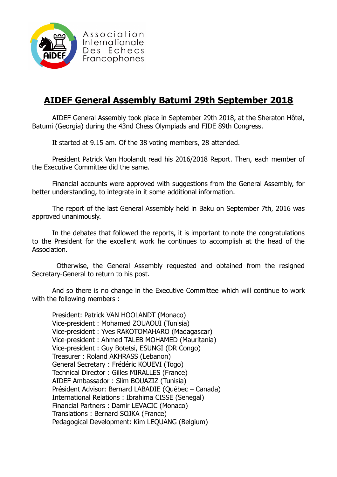

Association Internationale Des Echecs Francophones

## **AIDEF General Assembly Batumi 29th September 2018**

AIDEF General Assembly took place in September 29th 2018, at the Sheraton Hôtel, Batumi (Georgia) during the 43nd Chess Olympiads and FIDE 89th Congress.

It started at 9.15 am. Of the 38 voting members, 28 attended.

President Patrick Van Hoolandt read his 2016/2018 Report. Then, each member of the Executive Committee did the same.

Financial accounts were approved with suggestions from the General Assembly, for better understanding, to integrate in it some additional information.

The report of the last General Assembly held in Baku on September 7th, 2016 was approved unanimously.

In the debates that followed the reports, it is important to note the congratulations to the President for the excellent work he continues to accomplish at the head of the Association.

 Otherwise, the General Assembly requested and obtained from the resigned Secretary-General to return to his post.

And so there is no change in the Executive Committee which will continue to work with the following members :

President: Patrick VAN HOOLANDT (Monaco) Vice-president : Mohamed ZOUAOUI (Tunisia) Vice-president : Yves RAKOTOMAHARO (Madagascar) Vice-president : Ahmed TALEB MOHAMED (Mauritania) Vice-president : Guy Botetsi, ESUNGI (DR Congo) Treasurer : Roland AKHRASS (Lebanon) General Secretary : Frédéric KOUEVI (Togo) Technical Director : Gilles MIRALLES (France) AIDEF Ambassador : Slim BOUAZIZ (Tunisia) Président Advisor: Bernard LABADIE (Québec – Canada) International Relations : Ibrahima CISSE (Senegal) Financial Partners : Damir LEVACIC (Monaco) Translations : Bernard SOJKA (France) Pedagogical Development: Kim LEQUANG (Belgium)